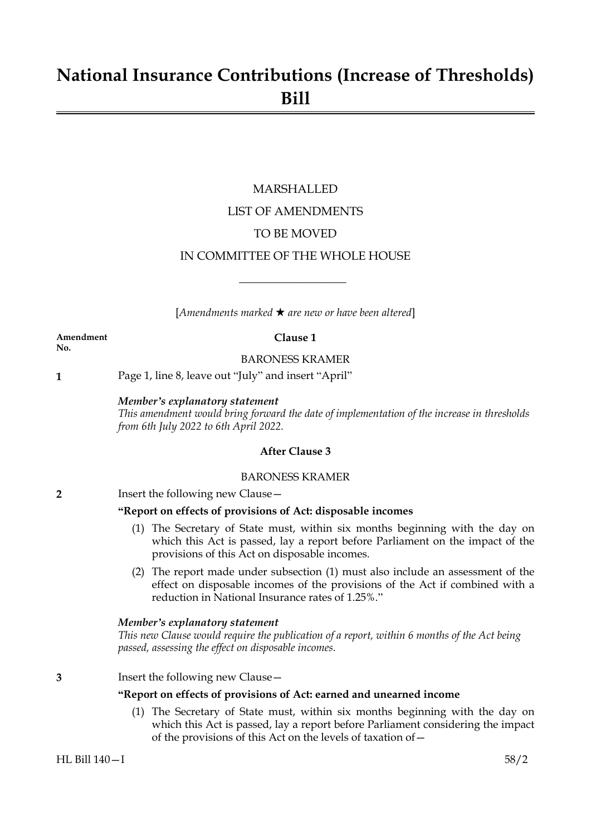# **National Insurance Contributions (Increase of Thresholds) Bill**

# MARSHALLED LIST OF AMENDMENTS TO BE MOVED IN COMMITTEE OF THE WHOLE HOUSE

[*Amendments marked* \* *are new or have been altered*]

 $\overline{\phantom{a}}$  , where  $\overline{\phantom{a}}$ 

**Amendment Clause 1 No.**

BARONESS KRAMER

**1** Page 1, line 8, leave out "July" and insert "April"

#### *Member's explanatory statement*

*This amendment would bring forward the date of implementation of the increase in thresholds from 6th July 2022 to 6th April 2022.*

#### **After Clause 3**

### BARONESS KRAMER

#### **2** Insert the following new Clause -

#### **"Report on effects of provisions of Act: disposable incomes**

- (1) The Secretary of State must, within six months beginning with the day on which this Act is passed, lay a report before Parliament on the impact of the provisions of this Act on disposable incomes.
- (2) The report made under subsection (1) must also include an assessment of the effect on disposable incomes of the provisions of the Act if combined with a reduction in National Insurance rates of 1.25%."

#### *Member's explanatory statement*

*This new Clause would require the publication of a report, within 6 months of the Act being passed, assessing the effect on disposable incomes.*

**3** Insert the following new Clause—

#### **"Report on effects of provisions of Act: earned and unearned income**

(1) The Secretary of State must, within six months beginning with the day on which this Act is passed, lay a report before Parliament considering the impact of the provisions of this Act on the levels of taxation of—

#### HL Bill 140—I 58/2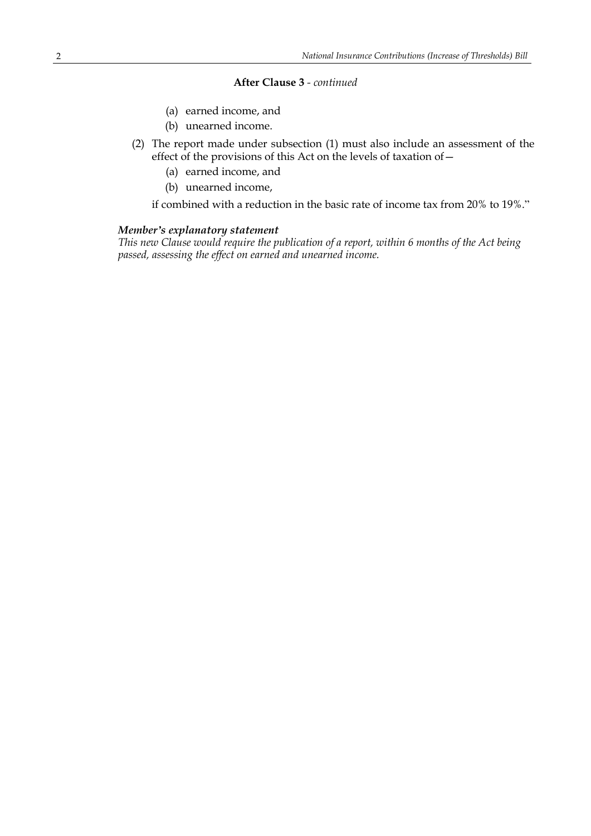#### **After Clause 3** *- continued*

- (a) earned income, and
- (b) unearned income.
- (2) The report made under subsection (1) must also include an assessment of the effect of the provisions of this Act on the levels of taxation of—
	- (a) earned income, and
	- (b) unearned income,

if combined with a reduction in the basic rate of income tax from 20% to 19%."

#### *Member's explanatory statement*

*This new Clause would require the publication of a report, within 6 months of the Act being passed, assessing the effect on earned and unearned income.*